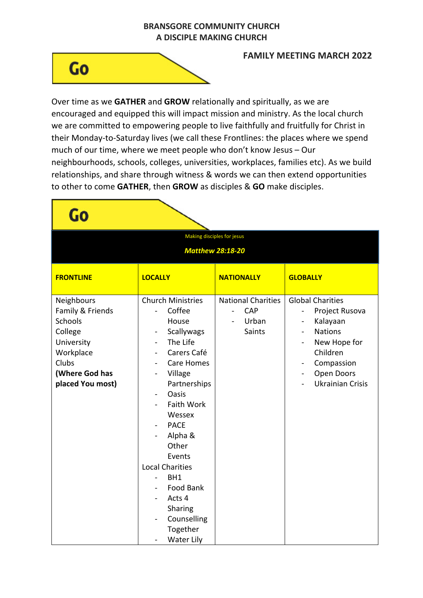## **BRANSGORE COMMUNITY CHURCH A DISCIPLE MAKING CHURCH**

## Go

## **FAMILY MEETING MARCH 2022**

Over time as we **GATHER** and **GROW** relationally and spiritually, as we are encouraged and equipped this will impact mission and ministry. As the local church we are committed to empowering people to live faithfully and fruitfully for Christ in their Monday-to-Saturday lives (we call these Frontlines: the places where we spend much of our time, where we meet people who don't know Jesus – Our neighbourhoods, schools, colleges, universities, workplaces, families etc). As we build relationships, and share through witness & words we can then extend opportunities to other to come **GATHER**, then **GROW** as disciples & **GO** make disciples.

| Making disciples for jesus                                                                                                     |                                                                                                                                                                                                                                                                                                                                                                   |                                                                                 |                                                                                                                                                                                                                                                                            |
|--------------------------------------------------------------------------------------------------------------------------------|-------------------------------------------------------------------------------------------------------------------------------------------------------------------------------------------------------------------------------------------------------------------------------------------------------------------------------------------------------------------|---------------------------------------------------------------------------------|----------------------------------------------------------------------------------------------------------------------------------------------------------------------------------------------------------------------------------------------------------------------------|
| <b>Matthew 28:18-20</b>                                                                                                        |                                                                                                                                                                                                                                                                                                                                                                   |                                                                                 |                                                                                                                                                                                                                                                                            |
| <b>FRONTLINE</b>                                                                                                               | <b>LOCALLY</b>                                                                                                                                                                                                                                                                                                                                                    | <b>NATIONALLY</b>                                                               | <b>GLOBALLY</b>                                                                                                                                                                                                                                                            |
| Neighbours<br>Family & Friends<br>Schools<br>College<br>University<br>Workplace<br>Clubs<br>(Where God has<br>placed You most) | <b>Church Ministries</b><br>Coffee<br>House<br>Scallywags<br>The Life<br>Carers Café<br><b>Care Homes</b><br>Village<br>Partnerships<br>Oasis<br><b>Faith Work</b><br>Wessex<br><b>PACE</b><br>Alpha &<br>Other<br>Events<br><b>Local Charities</b><br>BH1<br>$\overline{\phantom{0}}$<br>Food Bank<br>Acts 4<br>Sharing<br>Counselling<br>Together<br>Water Lily | <b>National Charities</b><br>CAP<br>$\overline{\phantom{0}}$<br>Urban<br>Saints | <b>Global Charities</b><br>Project Rusova<br>$\overline{\phantom{0}}$<br>Kalayaan<br><b>Nations</b><br>$\overline{\phantom{a}}$<br>New Hope for<br>$\overline{\phantom{0}}$<br>Children<br>Compassion<br>Open Doors<br>$\overline{\phantom{0}}$<br><b>Ukrainian Crisis</b> |